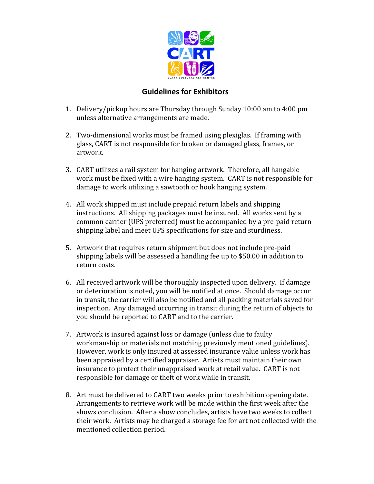

## **Guidelines for Exhibitors**

- 1. Delivery/pickup hours are Thursday through Sunday 10:00 am to 4:00 pm unless alternative arrangements are made.
- 2. Two-dimensional works must be framed using plexiglas. If framing with glass, CART is not responsible for broken or damaged glass, frames, or artwork.
- 3. CART utilizes a rail system for hanging artwork. Therefore, all hangable work must be fixed with a wire hanging system. CART is not responsible for damage to work utilizing a sawtooth or hook hanging system.
- 4. All work shipped must include prepaid return labels and shipping instructions. All shipping packages must be insured. All works sent by a common carrier (UPS preferred) must be accompanied by a pre-paid return shipping label and meet UPS specifications for size and sturdiness.
- 5. Artwork that requires return shipment but does not include pre-paid shipping labels will be assessed a handling fee up to \$50.00 in addition to return costs.
- 6. All received artwork will be thoroughly inspected upon delivery. If damage or deterioration is noted, you will be notified at once. Should damage occur in transit, the carrier will also be notified and all packing materials saved for inspection. Any damaged occurring in transit during the return of objects to you should be reported to CART and to the carrier.
- 7. Artwork is insured against loss or damage (unless due to faulty workmanship or materials not matching previously mentioned guidelines). However, work is only insured at assessed insurance value unless work has been appraised by a certified appraiser. Artists must maintain their own insurance to protect their unappraised work at retail value. CART is not responsible for damage or theft of work while in transit.
- 8. Art must be delivered to CART two weeks prior to exhibition opening date. Arrangements to retrieve work will be made within the first week after the shows conclusion. After a show concludes, artists have two weeks to collect their work. Artists may be charged a storage fee for art not collected with the mentioned collection period.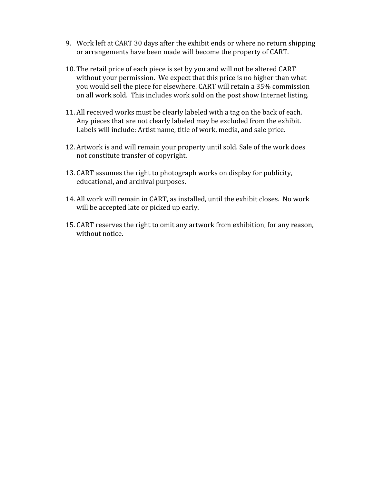- 9. Work left at CART 30 days after the exhibit ends or where no return shipping or arrangements have been made will become the property of CART.
- 10. The retail price of each piece is set by you and will not be altered CART without your permission. We expect that this price is no higher than what you would sell the piece for elsewhere. CART will retain a 35% commission on all work sold. This includes work sold on the post show Internet listing.
- 11. All received works must be clearly labeled with a tag on the back of each. Any pieces that are not clearly labeled may be excluded from the exhibit. Labels will include: Artist name, title of work, media, and sale price.
- 12. Artwork is and will remain your property until sold. Sale of the work does not constitute transfer of copyright.
- 13. CART assumes the right to photograph works on display for publicity, educational, and archival purposes.
- 14. All work will remain in CART, as installed, until the exhibit closes. No work will be accepted late or picked up early.
- 15. CART reserves the right to omit any artwork from exhibition, for any reason, without notice.